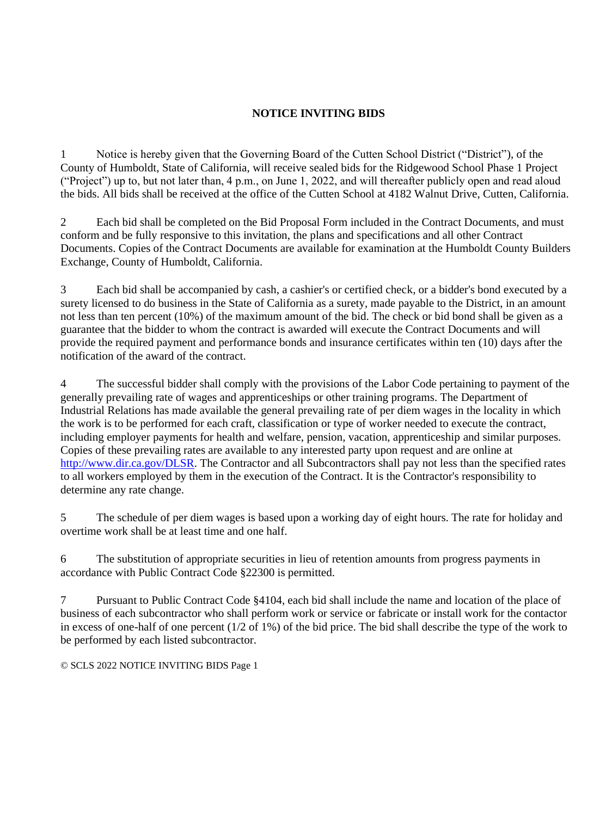## **NOTICE INVITING BIDS**

1 Notice is hereby given that the Governing Board of the Cutten School District ("District"), of the County of Humboldt, State of California, will receive sealed bids for the Ridgewood School Phase 1 Project ("Project") up to, but not later than, 4 p.m., on June 1, 2022, and will thereafter publicly open and read aloud the bids. All bids shall be received at the office of the Cutten School at 4182 Walnut Drive, Cutten, California.

2 Each bid shall be completed on the Bid Proposal Form included in the Contract Documents, and must conform and be fully responsive to this invitation, the plans and specifications and all other Contract Documents. Copies of the Contract Documents are available for examination at the Humboldt County Builders Exchange, County of Humboldt, California.

3 Each bid shall be accompanied by cash, a cashier's or certified check, or a bidder's bond executed by a surety licensed to do business in the State of California as a surety, made payable to the District, in an amount not less than ten percent (10%) of the maximum amount of the bid. The check or bid bond shall be given as a guarantee that the bidder to whom the contract is awarded will execute the Contract Documents and will provide the required payment and performance bonds and insurance certificates within ten (10) days after the notification of the award of the contract.

4 The successful bidder shall comply with the provisions of the Labor Code pertaining to payment of the generally prevailing rate of wages and apprenticeships or other training programs. The Department of Industrial Relations has made available the general prevailing rate of per diem wages in the locality in which the work is to be performed for each craft, classification or type of worker needed to execute the contract, including employer payments for health and welfare, pension, vacation, apprenticeship and similar purposes. Copies of these prevailing rates are available to any interested party upon request and are online at http://www.dir.ca.gov/DLSR. The Contractor and all Subcontractors shall pay not less than the specified rates to all workers employed by them in the execution of the Contract. It is the Contractor's responsibility to determine any rate change.

5 The schedule of per diem wages is based upon a working day of eight hours. The rate for holiday and overtime work shall be at least time and one half.

6 The substitution of appropriate securities in lieu of retention amounts from progress payments in accordance with Public Contract Code §22300 is permitted.

7 Pursuant to Public Contract Code §4104, each bid shall include the name and location of the place of business of each subcontractor who shall perform work or service or fabricate or install work for the contactor in excess of one-half of one percent (1/2 of 1%) of the bid price. The bid shall describe the type of the work to be performed by each listed subcontractor.

© SCLS 2022 NOTICE INVITING BIDS Page 1